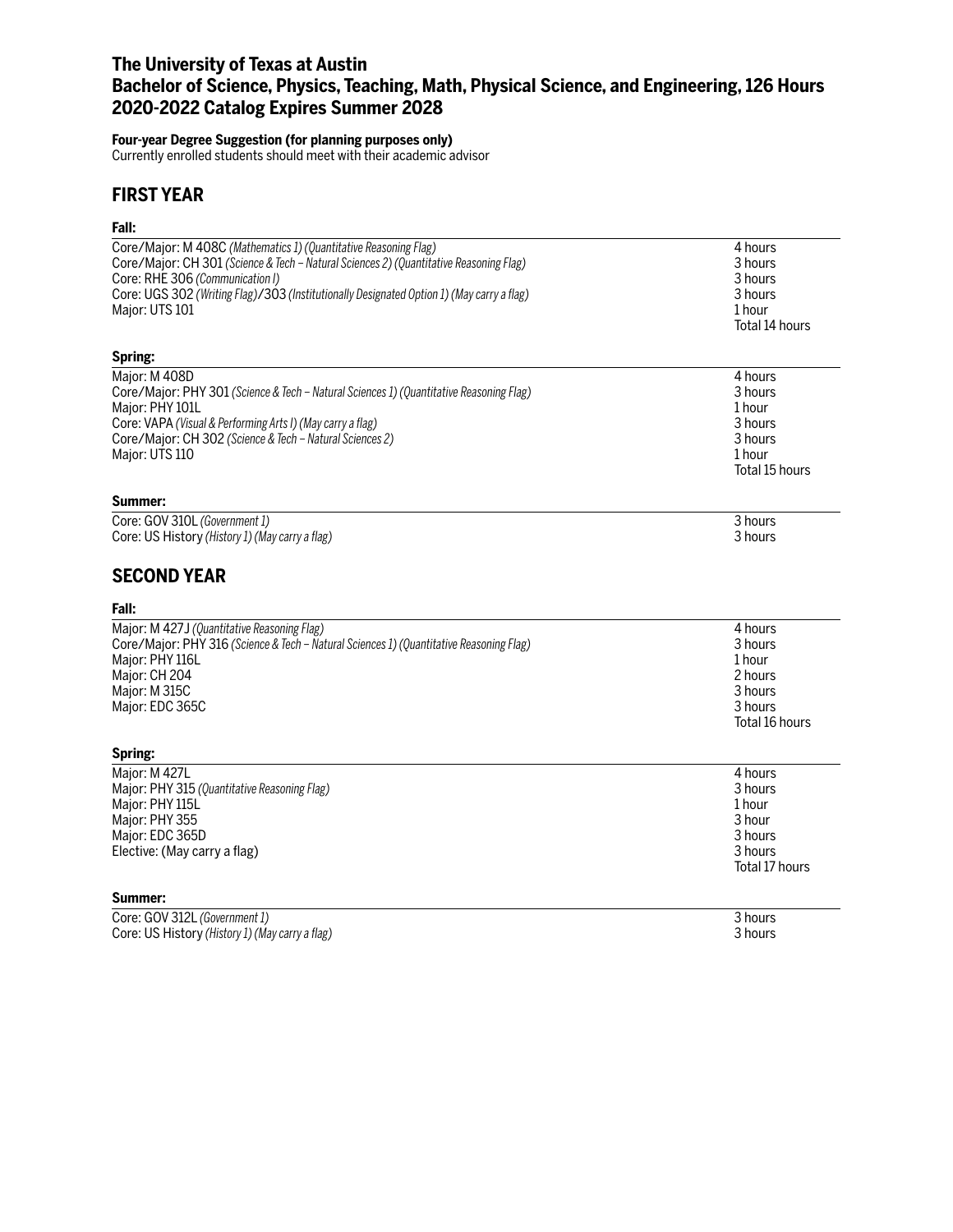# **The University of Texas at Austin Bachelor of Science, Physics, Teaching, Math, Physical Science, and Engineering, 126 Hours 2020-2022 Catalog Expires Summer 2028**

### **Four-year Degree Suggestion (for planning purposes only)**

Currently enrolled students should meet with their academic advisor

# **FIRST YEAR**

## **Fall:**

| ган.                                                                                      |                |
|-------------------------------------------------------------------------------------------|----------------|
| Core/Major: M 408C (Mathematics 1) (Quantitative Reasoning Flag)                          | 4 hours        |
| Core/Major: CH 301 (Science & Tech - Natural Sciences 2) (Quantitative Reasoning Flag)    | 3 hours        |
| Core: RHE 306 (Communication I)                                                           | 3 hours        |
| Core: UGS 302 (Writing Flag)/303 (Institutionally Designated Option 1) (May carry a flag) | 3 hours        |
| Major: UTS 101                                                                            | 1 hour         |
|                                                                                           | Total 14 hours |
| Spring:                                                                                   |                |
| Major: M 408D                                                                             | 4 hours        |
| Core/Major: PHY 301 (Science & Tech - Natural Sciences 1) (Quantitative Reasoning Flag)   | 3 hours        |
| Major: PHY 101L                                                                           | 1 hour         |
| Core: VAPA (Visual & Performing Arts I) (May carry a flag)                                | 3 hours        |
| Core/Major: CH 302 (Science & Tech - Natural Sciences 2)                                  | 3 hours        |
| Major: UTS 110                                                                            | 1 hour         |
|                                                                                           | Total 15 hours |
| Summer:                                                                                   |                |
| Core: GOV 310L (Government 1)                                                             | 3 hours        |
| Core: US History (History 1) (May carry a flag)                                           | 3 hours        |
| <b>SECOND YEAR</b>                                                                        |                |
| Fall:                                                                                     |                |
| Major: M 427J (Quantitative Reasoning Flag)                                               | 4 hours        |
| Core/Major: PHY 316 (Science & Tech - Natural Sciences 1) (Quantitative Reasoning Flag)   | 3 hours        |
| Major: PHY 116L                                                                           | 1 hour         |
| Major: CH 204                                                                             | 2 hours        |
| Major: M 315C                                                                             | 3 hours        |
| Major: EDC 365C                                                                           | 3 hours        |
|                                                                                           | Total 16 hours |
| Spring:                                                                                   |                |
| Major: M 427L                                                                             | 4 hours        |
| Major: PHY 315 (Quantitative Reasoning Flag)                                              | 3 hours        |
| Major: PHY 115L                                                                           | 1 hour         |
| Major: PHY 355                                                                            | 3 hour         |
| Major: EDC 365D                                                                           | 3 hours        |
| Elective: (May carry a flag)                                                              | 3 hours        |
|                                                                                           | Total 17 hours |
| Summer:                                                                                   |                |
| Core: GOV 312L (Government 1)                                                             | 3 hours        |
| Core: US History (History 1) (May carry a flag)                                           | 3 hours        |